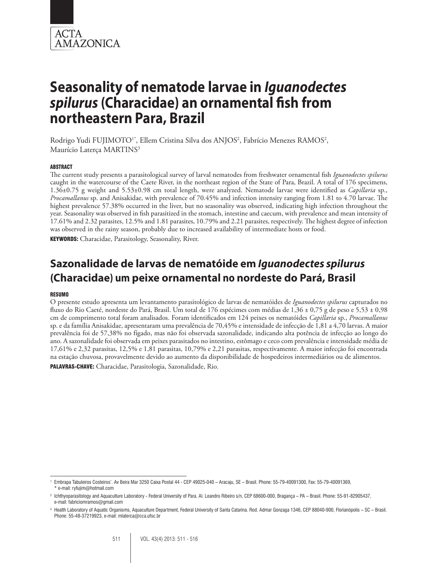

Rodrigo Yudi FUJIMOTO<sup>1\*</sup>, Ellem Cristina Silva dos ANJOS<sup>2</sup>, Fabrício Menezes RAMOS<sup>2</sup>, Maurício Laterca MARTINS<sup>3</sup>

#### ABSTRACT

The current study presents a parasitological survey of larval nematodes from freshwater ornamental fish *Iguanodectes spilurus*  caught in the watercourse of the Caete River, in the northeast region of the State of Para, Brazil. A total of 176 specimens, 1.36±0.75 g weight and 5.53±0.98 cm total length, were analyzed. Nematode larvae were identified as *Capillaria* sp., *Procamallanus* sp. and Anisakidae, with prevalence of 70.45% and infection intensity ranging from 1.81 to 4.70 larvae. The highest prevalence 57.38% occurred in the liver, but no seasonality was observed, indicating high infection throughout the year. Seasonality was observed in fish parasitized in the stomach, intestine and caecum, with prevalence and mean intensity of 17.61% and 2.32 parasites, 12.5% and 1.81 parasites, 10.79% and 2.21 parasites, respectively. The highest degree of infection was observed in the rainy season, probably due to increased availability of intermediate hosts or food.

KEYWORDS: Characidae, Parasitology, Seasonality, River.

# **Sazonalidade de larvas de nematóide em** *Iguanodectes spilurus* **(Characidae) um peixe ornamental no nordeste do Pará, Brasil**

#### RESUMO

O presente estudo apresenta um levantamento parasitológico de larvas de nematóides de *Iguanodectes spilurus* capturados no fluxo do Rio Caeté, nordeste do Pará, Brasil. Um total de 176 espécimes com médias de 1,36 ± 0,75 g de peso e 5,53 ± 0,98 cm de comprimento total foram analisados. Foram identificados em 124 peixes os nematóides *Capillaria* sp., *Procamallanus* sp. e da família Anisakidae, apresentaram uma prevalência de 70,45% e intensidade de infecção de 1,81 a 4,70 larvas. A maior prevalência foi de 57,38% no fígado, mas não foi observada sazonalidade, indicando alta potência de infecção ao longo do ano. A sazonalidade foi observada em peixes parasitados no intestino, estômago e ceco com prevalência e intensidade média de 17,61% e 2,32 parasitas, 12,5% e 1,81 parasitas, 10,79% e 2,21 parasitas, respectivamente. A maior infecção foi encontrada na estação chuvosa, provavelmente devido ao aumento da disponibilidade de hospedeiros intermediários ou de alimentos.

PALAVRAS-CHAVE: Characidae, Parasitologia, Sazonalidade, Rio.

<sup>1</sup> Embrapa Tabuleiros Costeiros'. Av Beira Mar 3250 Caixa Postal 44 - CEP 49025-040 – Aracaju, SE – Brasil. Phone: 55-79-40091300, Fax: 55-79-40091369, \* e-mail: ryfujim@hotmail.com

<sup>2</sup> Ichthyoparasitology and Aquaculture Laboratory - Federal University of Para. Al. Leandro Ribeiro s/n, CEP 68600-000, Bragança – PA – Brasil. Phone: 55-91-82905437, e-mail: fabriciomramos@gmail.com

<sup>3</sup> Health Laboratory of Aquatic Organisms, Aquaculture Department, Federal University of Santa Catarina. Rod. Admar Gonzaga 1346, CEP 88040-900, Florianópolis – SC – Brasil. Phone: 55-48-37219923, e-mail: mlaterca@cca.ufsc.br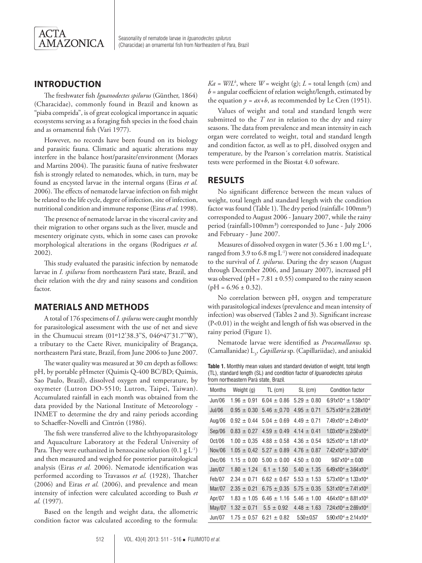

# **INTRODUCTION**

The freshwater fish *Iguanodectes spilurus* (Günther, 1864) (Characidae), commonly found in Brazil and known as "piaba comprida", is of great ecological importance in aquatic ecosystems serving as a foraging fish species in the food chain and as ornamental fish (Vari 1977).

However, no records have been found on its biology and parasitic fauna. Climatic and aquatic alterations may interfere in the balance host/parasite/environment (Moraes and Martins 2004). The parasitic fauna of native freshwater fish is strongly related to nematodes, which, in turn, may be found as encysted larvae in the internal organs (Eiras *et al.* 2006). The effects of nematode larvae infection on fish might be related to the life cycle, degree of infection, site of infection, nutritional condition and immune response (Eiras *et al.* 1998).

The presence of nematode larvae in the visceral cavity and their migration to other organs such as the liver, muscle and mesentery originate cysts, which in some cases can provoke morphological alterations in the organs (Rodrigues *et al.* 2002).

This study evaluated the parasitic infection by nematode larvae in *I. spilurus* from northeastern Pará state, Brazil, and their relation with the dry and rainy seasons and condition factor.

## **MATERIALS AND METHODS**

A total of 176 specimens of *I. spilurus* were caught monthly for parasitological assessment with the use of net and sieve in the Chumucui stream (01°12'38.3"S, 046°47'31.7"W), a tributary to the Caete River, municipality of Bragança, northeastern Pará state, Brazil, from June 2006 to June 2007.

The water quality was measured at 30 cm depth as follows: pH, by portable pHmeter (Quimis Q-400 BC/BD; Quimis, Sao Paulo, Brazil), dissolved oxygen and temperature, by oxymeter (Lutron DO-5510; Lutron, Taipei, Taiwan). Accumulated rainfall in each month was obtained from the data provided by the National Institute of Meteorology - INMET to determine the dry and rainy periods according to Schaeffer-Novelli and Cintrón (1986).

The fish were transferred alive to the Ichthyoparasitology and Aquaculture Laboratory at the Federal University of Para. They were euthanized in benzocaine solution  $(0.1 \text{ g L}^{-1})$ and then measured and weighed for posterior parasitological analysis (Eiras *et al.* 2006). Nematode identification was performed according to Travassos *et al.* (1928), Thatcher (2006) and Eiras *et al.* (2006), and prevalence and mean intensity of infection were calculated according to Bush *et al.* (1997).

Based on the length and weight data, the allometric condition factor was calculated according to the formula:  $Ka = W/L<sup>b</sup>$ , where  $W$  = weight (g);  $L$  = total length (cm) and  $b =$  angular coefficient of relation weight/length, estimated by the equation  $y = ax + b$ , as recommended by Le Cren (1951).

Values of weight and total and standard length were submitted to the *T test* in relation to the dry and rainy seasons. The data from prevalence and mean intensity in each organ were correlated to weight, total and standard length and condition factor, as well as to pH, dissolved oxygen and temperature, by the Pearson´s correlation matrix. Statistical tests were performed in the Biostat 4.0 software.

# **RESULTS**

No significant difference between the mean values of weight, total length and standard length with the condition factor was found (Table 1). The dry period (rainfall<  $100$ mm<sup>3</sup>) corresponded to August 2006 - January 2007, while the rainy period (rainfall>100mm<sup>3</sup>) corresponded to June - July 2006 and February - June 2007.

Measures of dissolved oxygen in water  $(5.36 \pm 1.00 \text{ mg L}^{-1})$ , ranged from 3.9 to 6.8 mg  $L^{-1}$ ) were not considered inadequate to the survival of *I. spilurus*. During the dry season (August through December 2006, and January 2007), increased pH was observed (pH =  $7.81 \pm 0.55$ ) compared to the rainy season  $(pH = 6.96 \pm 0.32)$ .

No correlation between pH, oxygen and temperature with parasitological indexes (prevalence and mean intensity of infection) was observed (Tables 2 and 3). Significant increase (P<0.01) in the weight and length of fish was observed in the rainy period (Figure 1).

Nematode larvae were identified as *Procamallanus* sp. (Camallanidae) L<sub>3</sub>, *Capillaria* sp. (Capillariidae), and anisakid

**Table 1.** Monthly mean values and standard deviation of weight, total length (TL), standard length (SL) and condition factor of *Iguanodectes spirulus*  from northeastern Pará state, Brazil*.* 

| <b>Months</b> | Weight (g)      | $TL$ (cm)       | SL (cm)         | <b>Condition factor</b>                     |
|---------------|-----------------|-----------------|-----------------|---------------------------------------------|
| Jun/06        | $1.96 \pm 0.91$ | $6.04 \pm 0.86$ | $5.29 \pm 0.80$ | $6.91 \times 10^{4} + 1.58 \times 10^{4}$   |
| Jul/06        | $0.95 \pm 0.30$ | $5.46 \pm 0.70$ | $4.95 \pm 0.71$ | $5.75 \times 10^{4} \pm 2.28 \times 10^{4}$ |
| Aug/06        | $0.92 \pm 0.44$ | $5.04 \pm 0.69$ | $4.49 \pm 0.71$ | $7.49 \times 10^{4} \pm 2.49 \times 10^{4}$ |
| Sep/06        | $0.83 \pm 0.27$ | $4.59 \pm 0.49$ | $4.14 + 0.41$   | $1.03 \times 10^{4} \pm 2.50 \times 10^{4}$ |
| Oct/06        | $1.00 \pm 0.35$ | $4.88 \pm 0.58$ | $4.36 \pm 0.54$ | $9.25 \times 10^{4} + 1.81 \times 10^{4}$   |
| Nov/06        | $1.05 \pm 0.42$ | $5.27 \pm 0.89$ | $4.76 \pm 0.87$ | $7.42 \times 10^{4} \pm 3.07 \times 10^{4}$ |
| Dec/06        | $1.15 \pm 0.00$ | $5.00 \pm 0.00$ | $4.50 \pm 0.00$ | $9.67 \times 10^{4} + 0.00$                 |
| Jan/07        | $1.80 \pm 1.24$ | $6.1 \pm 1.50$  | $5.40 \pm 1.35$ | $6.49 \times 10^{4} \pm 3.64 \times 10^{4}$ |
| Feb/07        | $2.34 \pm 0.71$ | $6.62 \pm 0.67$ | $5.53 + 1.53$   | $5.73 \times 10^{4} + 1.33 \times 10^{4}$   |
| Mar/07        | $2.35 \pm 0.21$ | $6.75 \pm 0.35$ | $5.75 \pm 0.35$ | $5.31 \times 10^{4} \pm 7.41 \times 10^{5}$ |
| Apr/07        | $1.83 \pm 1.05$ | $6.46 \pm 1.16$ | $5.46 + 1.00$   | $4.64 \times 10^{4} + 8.81 \times 10^{5}$   |
| May/07        | $1.32 \pm 0.71$ | $5.5 \pm 0.92$  | $4.48 \pm 1.63$ | $7.24 \times 10^4 \pm 2.69 \times 10^4$     |
| Jun/07        | $1.75 \pm 0.57$ | $6.21 \pm 0.82$ | $5.50 \pm 0.57$ | $5.90 \times 10^{4} \pm 2.14 \times 10^{4}$ |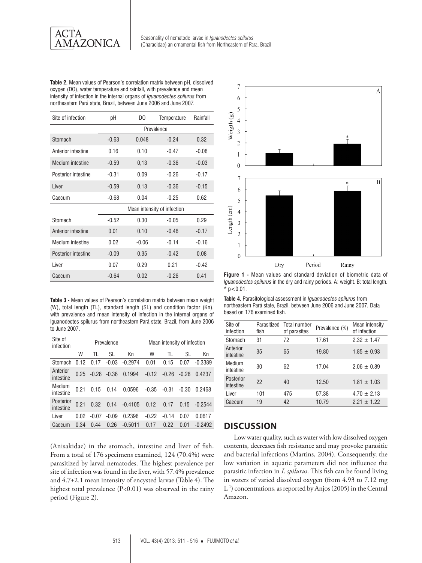

**Table 2.** Mean values of Pearson's correlation matrix between pH, dissolved oxygen (DO), water temperature and rainfall, with prevalence and mean intensity of infection in the internal organs of *Iguanodectes spilurus* from northeastern Pará state, Brazil, between June 2006 and June 2007*.*

| Site of infection   | рH                          | DO      | Temperature | Rainfall |  |
|---------------------|-----------------------------|---------|-------------|----------|--|
|                     | Prevalence                  |         |             |          |  |
| Stomach             | $-0.63$                     | 0.048   | $-0.24$     | 0.32     |  |
| Anterior intestine  | 0.16                        | 0.10    | $-0.47$     | $-0.08$  |  |
| Medium intestine    | $-0.59$                     | 0,13    | $-0.36$     | $-0.03$  |  |
| Posterior intestine | $-0.31$                     | 0.09    | $-0.26$     | $-0.17$  |  |
| Liver               | $-0.59$                     | 0.13    | $-0.36$     | $-0.15$  |  |
| Caecum              | $-0.68$                     | 0.04    | $-0.25$     | 0.62     |  |
|                     | Mean intensity of infection |         |             |          |  |
| Stomach             | $-0.52$                     | 0.30    | $-0.05$     | 0.29     |  |
| Anterior intestine  | 0.01                        | 0.10    | $-0.46$     | $-0.17$  |  |
| Medium intestine    | 0.02                        | $-0.06$ | $-0.14$     | $-0.16$  |  |
| Posterior intestine | $-0.09$                     | 0.35    | $-0.42$     | 0.08     |  |
| I iver              | 0.07                        | 0.29    | 0.21        | $-0.42$  |  |
| Caecum              | $-0.64$                     | 0.02    | $-0.26$     | 0.41     |  |

**Table 3 -** Mean values of Pearson's correlation matrix between mean weight (W), total length (TL), standard length (SL) and condition factor (Kn), with prevalence and mean intensity of infection in the internal organs of Iguanodectes spilurus from northeastern Pará state, Brazil, from June 2006 to June 2007.

| Site of<br>infection   | Prevalence |         |         |           | Mean intensity of infection |         |         |           |
|------------------------|------------|---------|---------|-----------|-----------------------------|---------|---------|-----------|
|                        | W          | TI      | SL      | Кn        | W                           | TI      | SL      | Кn        |
| Stomach                | 0.12       | 0.17    | $-0.03$ | $-0.2974$ | 0.01                        | 0.15    | 0.07    | $-0.3389$ |
| Anterior<br>intestine  | 0.25       | $-0.28$ | $-0.36$ | 0.1994    | $-0.12$                     | $-0.26$ | $-0.28$ | 0.4237    |
| Medium<br>intestine    | በ 21       | 0.15    | 0.14    | 0.0596    | $-0.35$                     | $-0.31$ | $-0.30$ | 0.2468    |
| Posterior<br>intestine | 0.21       | 0.32    | 0.14    | $-0.4105$ | 0.12                        | 0.17    | 0.15    | $-0.2544$ |
| I iver                 | 0.02       | $-0.07$ | $-0.09$ | 0.2398    | $-0.22$                     | $-0.14$ | 0.07    | 0.0617    |
| Caecum                 | 0.34       | 0.44    | 0.26    | $-0.5011$ | 0.17                        | 0.22    | 0.01    | $-0.2492$ |

(Anisakidae) in the stomach, intestine and liver of fish. From a total of 176 specimens examined, 124 (70.4%) were parasitized by larval nematodes. The highest prevalence per site of infection was found in the liver, with 57.4% prevalence and 4.7±2.1 mean intensity of encysted larvae (Table 4). The highest total prevalence (P<0.01) was observed in the rainy period (Figure 2).



**Figure 1 -** Mean values and standard deviation of biometric data of *Iguanodectes spilurus* in the dry and rainy periods. A: weight. B: total length.  $*$  p < 0.01.

**Table 4.** Parasitological assessment in *Iguanodectes spilurus* from northeastern Pará state, Brazil, between June 2006 and June 2007*.* Data based on 176 examined fish.

| Site of<br>infection   | Parasitized<br>fish | Total number<br>of parasites | Prevalence (%) | Mean intensity<br>of infection |
|------------------------|---------------------|------------------------------|----------------|--------------------------------|
| Stomach                | 31                  | 72                           | 17.61          | $2.32 + 1.47$                  |
| Anterior<br>intestine  | 35                  | 65                           | 19.80          | $1.85 + 0.93$                  |
| Medium<br>intestine    | 30                  | 62                           | 17.04          | $2.06 + 0.89$                  |
| Posterior<br>intestine | 22                  | 40                           | 12.50          | $1.81 + 1.03$                  |
| Liver                  | 101                 | 475                          | 57.38          | $4.70 \pm 2.13$                |
| Caecum                 | 19                  | 42                           | 10.79          | $2.21 + 1.22$                  |

# **DISCUSSION**

Low water quality, such as water with low dissolved oxygen contents, decreases fish resistance and may provoke parasitic and bacterial infections (Martins, 2004). Consequently, the low variation in aquatic parameters did not influence the parasitic infection in *I*. *spilurus*. This fish can be found living in waters of varied dissolved oxygen (from 4.93 to 7.12 mg L-1) concentrations, as reported by Anjos (2005) in the Central Amazon.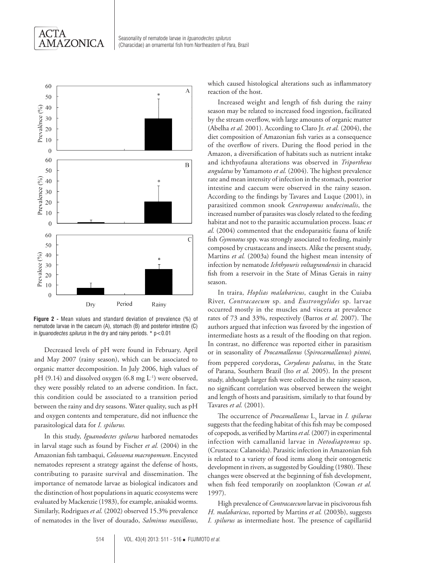



**Figure 2 -** Mean values and standard deviation of prevalence (%) of nematode larvae in the caecum (A), stomach (B) and posterior intestine (C) in *Iguanodectes spilurus* in the dry and rainy periods. \* p<0.01

Decreased levels of pH were found in February, April and May 2007 (rainy season), which can be associated to organic matter decomposition. In July 2006, high values of pH (9.14) and dissolved oxygen (6.8 mg  $L^{-1}$ ) were observed, they were possibly related to an adverse condition. In fact, this condition could be associated to a transition period between the rainy and dry seasons. Water quality, such as pH and oxygen contents and temperature, did not influence the parasitological data for *I. spilurus.* 

In this study, *Iguanodectes spilurus* harbored nematodes in larval stage such as found by Fischer *et al.* (2004) in the Amazonian fish tambaqui, *Colossoma macropomum*. Encysted nematodes represent a strategy against the defense of hosts, contributing to parasite survival and dissemination. The importance of nematode larvae as biological indicators and the distinction of host populations in aquatic ecosystems were evaluated by Mackenzie (1983), for example, anisakid worms. Similarly, Rodrigues *et al.* (2002) observed 15.3% prevalence of nematodes in the liver of dourado, *Salminus maxillosus*, which caused histological alterations such as inflammatory reaction of the host.

Increased weight and length of fish during the rainy season may be related to increased food ingestion, facilitated by the stream overflow, with large amounts of organic matter (Abelha *et al.* 2001). According to Claro Jr. *et al.* (2004), the diet composition of Amazonian fish varies as a consequence of the overflow of rivers. During the flood period in the Amazon, a diversification of habitats such as nutrient intake and ichthyofauna alterations was observed in *Triportheus angulatus* by Yamamoto *et al.* (2004). The highest prevalence rate and mean intensity of infection in the stomach, posterior intestine and caecum were observed in the rainy season. According to the findings by Tavares and Luque (2001), in parasitized common snook *Centropomus undecimalis*, the increased number of parasites was closely related to the feeding habitat and not to the parasitic accumulation process. Isaac *et al.* (2004) commented that the endoparasitic fauna of knife fish *Gymnotus* spp. was strongly associated to feeding, mainly composed by crustaceans and insects. Alike the present study, Martins *et al.* (2003a) found the highest mean intensity of infection by nematode *Ichthyouris voltagrandensis* in characid fish from a reservoir in the State of Minas Gerais in rainy season.

In traira, *Hoplias malabaricus*, caught in the Cuiaba River, *Contracaecum* sp. and *Eustrongylides* sp. larvae occurred mostly in the muscles and viscera at prevalence rates of 73 and 33%, respectively (Barros *et al.* 2007). The authors argued that infection was favored by the ingestion of intermediate hosts as a result of the flooding on that region. In contrast, no difference was reported either in parasitism or in seasonality of *Procamallanus* (*Spirocamallanus*) *pintoi,*  from peppered corydoras, *Corydoras paleatus*, in the State of Parana, Southern Brazil (Ito *et al.* 2005). In the present study, although larger fish were collected in the rainy season, no significant correlation was observed between the weight and length of hosts and parasitism, similarly to that found by Tavares *et al.* (2001).

The occurrence of *Procamallanus* L<sub>3</sub> larvae in *I. spilurus* suggests that the feeding habitat of this fish may be composed of copepods, as verified by Martins *et al.* (2007) in experimental infection with camallanid larvae in *Notodiaptomus* sp. (Crustacea: Calanoida). Parasitic infection in Amazonian fish is related to a variety of food items along their ontogenetic development in rivers, as suggested by Goulding (1980). These changes were observed at the beginning of fish development, when fish feed temporarily on zooplankton (Cowan *et al.* 1997).

High prevalence of *Contracaecum* larvae in piscivorous fish *H. malabaricus*, reported by Martins *et al.* (2003b), suggests *I. spilurus* as intermediate host. The presence of capillariid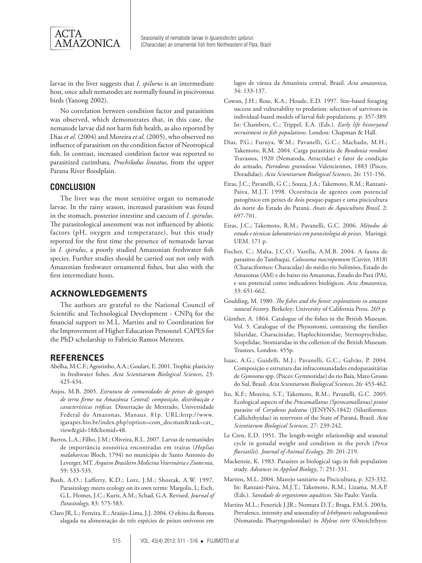

larvae in the liver suggests that *I. spilurus* is an intermediate host, once adult nematodes are normally found in piscivorous birds (Yanong 2002).

No correlation between condition factor and parasitism was observed, which demonstrates that, in this case, the nematode larvae did not harm fish health, as also reported by Dias *et al.* (2004) and Moreira *et al.* (2005), who observed no influence of parasitism on the condition factor of Neotropical fish. In contrast, increased condition factor was reported to parasitized curimbata, *Prochilodus lineatus*, from the upper Parana River floodplain.

### **CONCLUSION**

The liver was the most sensitive organ to nematode larvae. In the rainy season, increased parasitism was found in the stomach, posterior intestine and caecum of *I. spirulus.*  The parasitological assessment was not influenced by abiotic factors (pH, oxygen and temperature), but this study reported for the first time the presence of nematode larvae in *I. spirulus*, a poorly studied Amazonian freshwater fish species. Further studies should be carried out not only with Amazonian freshwater ornamental fishes, but also with the first intermediate hosts.

#### **ACKNOWLEDGEMENTS**

The authors are grateful to the National Council of Scientific and Technological Development - CNPq for the financial support to M.L. Martins and to Coordination for the Improvement of Higher Education Personnel. CAPES for the PhD scholarship to Fabrício Ramos Menezes.

#### **REFERENCES**

- Abelha, M.C.F.; Agostinho, A.A.; Goulart, E. 2001. Trophic plasticity in freshwater fishes. *Acta Scientiarum Biological Sciences*, 23: 425-434.
- Anjos, M.B. 2005. *Estrutura de comunidades de peixes de igarapés de terra firme na Amazônia Central: composição, distribuição e características tróficas.* Dissertação de Mestrado, Universidade Federal do Amazonas, Manaus. 81p. URL:http://www. igarapes.bio.br/index.php?option=com\_docman&task=cat\_ view&gid=18&Itemid=48.
- Barros, L.A.; Filho, J.M.; Oliveira, R.L. 2007. Larvas de nematóides de importância zoonótica encontradas em traíras (*Hoplias malabaricus* Bloch, 1794) no município de Santo Antonio do Leverger, MT. *Arquivo Brasileiro Medicina Veterinária e Zootecnia*, 59: 533-535.
- Bush, A.O.; Lafferty, K.D.; Lotz, J.M.; Shostak, A.W. 1997. Parasitology meets ecology on its own terms: Margolis, L; Esch, G.L. Homes, J.C.; Kuris, A.M.; Schad, G.A. Revised. *Journal of Parasitology*, 83: 575-583.
- Claro JR, L.; Ferreira, E.; Araújo-Lima, J.J. 2004. O efeito da floresta alagada na alimentação de três espécies de peixes onívoros em

lagos de várzea da Amazônia central, Brasil. *Acta amazonica*, 34: 133-137.

- Cowan, J.H.; Rose, K.A.; Houde, E.D*.* 1997. Size-based foraging success and vulnerability to predation: selection of survivors in individual-based models of larval fish populations. p. 357-389. In: Chambers, C.; Trippel, E.A. (Eds.). *Early life historyand recruitment in fish populations*. London: Chapman & Hall.
- Dias, P.G.; Furuya, W.M.; Pavanelli, G.C.; Machado, M.H.; Takemoto, R.M. 2004. Carga parasitária de *Rondonia rondoni*  Travassos, 1920 (Nematoda, Atractidae) e fator de condição do armado, *Pterodoras granulosus* Valenciennes, 1883 (Pisces, Doradidae). *Acta Scientiarum Biological Sciences*, 26: 151-156.
- Eiras, J.C.; Pavanelli, G.C.; Souza, J.A.; Takemoto, R.M.; Ranzani-Paiva, M.J.T. 1998. Ocorrência de agentes com potencial patogênico em peixes de dois pesque-pagues e uma piscicultura do norte do Estado do Paraná. *Anais do Aquicultura Brasil,* 2: 697-701.
- Eiras, J.C.; Takemoto, R.M.; Pavanelli, G.C. 2006. *Métodos de estudo e técnicas laboratoriais em parasitologia de peixes*. Maringá: UEM. 171 p.
- Fischer, C.; Malta, J.C.O.; Varella, A.M.B. 2004. A fauna de parasitos do Tambaqui, *Colossoma macropomum* (Cuvier, 1818) (Characiformes: Characidae) do médio rio Solimões, Estado do Amazonas (AM) e do baixo rio Amazonas, Estado do Pará (PA), e seu potencial como indicadores biológicos. *Acta Amazonica,*  33: 651-662.
- Goulding, M. 1980. *The fishes and the forest: explorations in amazon natural history*. Berkeley: University of California Press. 269 p.
- Günther, A. 1864. Catalogue of the fishes in the British Museum. Vol. 5. Catalogue of the Physostomi, containing the families Siluridae, Characinidae, Haplochitonidae, Sternoptychidae, Scopelidae, Stomiatidae in the colletion of the British Museum. Trustees, London. 455p.
- Isaac, A.G.; Guidelli, M.J.; Pavanelli, G.C.; Galvão, P. 2004. Composição e estrutura das infracomunidades endoparasitárias de *Gymnotus* spp. (Pisces: Gymnotidae) do rio Baía, Mato Grosso do Sul, Brasil. *Acta Scientiarum Biological Sciences*, 26: 453-462.
- Ito, K.F.; Moreira, S.T.; Takemoto, R.M.; Pavanelli, G.C. 2005. Ecological aspects of the *Procamallanus (Spirocamallanus) pintoi* parasite of *Corydoras paleatus* (JENYNS,1842) (Siluriformes: Callichthyidae) in reservoirs of the State of Paraná, Brazil*. Acta Scientiarum Biological Sciences,* 27: 239-242.
- Le Cren, E.D. 1951. The length-weight relationship and seasonal cycle in gonadal weight and condition in the perch (*Perca fluviatilis*). *Journal of Animal Ecology*, 20: 201-219.
- Mackenzie, K. 1983. Parasites as biological tags in fish population study. *Advances in Applied Biology*, 7: 251-331.
- Martins, M.L. 2004. Manejo sanitário na Piscicultura, p. 323-332. In: Ranzani-Paiva, M.J.T.; Takemoto, R.M.; Lizama, M.A.P. (Eds.). *Sanidade de organismos aquáticos.* São Paulo: Varela.
- Martins M.L.; Fenerick J.JR.; Nomura D.T.; Braga, F.M.S. 2003a. Prevalence, intensity and seasonality of *Ichthyouris voltagrandensis*  (Nematoda: Pharyngodonidae) in *Myleus tiete* (Osteichthyes: